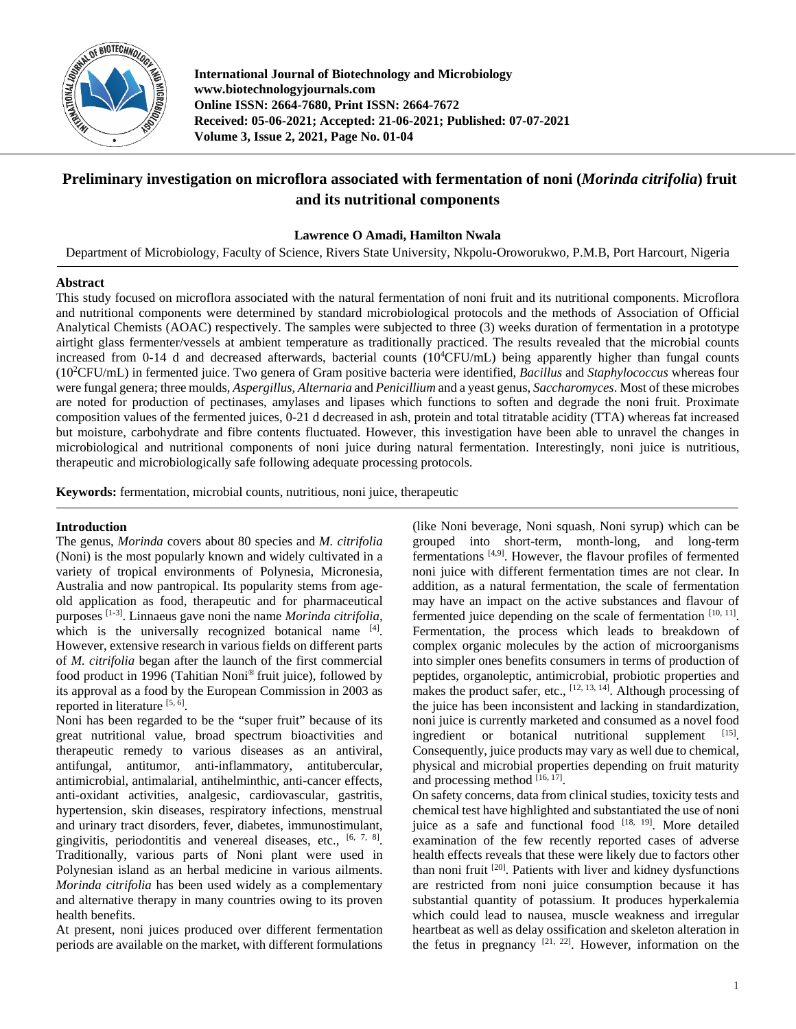

**International Journal of Biotechnology and Microbiology www.biotechnologyjournals.com Online ISSN: 2664-7680, Print ISSN: 2664-7672 Received: 05-06-2021; Accepted: 21-06-2021; Published: 07-07-2021 Volume 3, Issue 2, 2021, Page No. 01-04**

# **Preliminary investigation on microflora associated with fermentation of noni (***Morinda citrifolia***) fruit and its nutritional components**

## **Lawrence O Amadi, Hamilton Nwala**

Department of Microbiology, Faculty of Science, Rivers State University, Nkpolu-Oroworukwo, P.M.B, Port Harcourt, Nigeria

## **Abstract**

This study focused on microflora associated with the natural fermentation of noni fruit and its nutritional components. Microflora and nutritional components were determined by standard microbiological protocols and the methods of Association of Official Analytical Chemists (AOAC) respectively. The samples were subjected to three (3) weeks duration of fermentation in a prototype airtight glass fermenter/vessels at ambient temperature as traditionally practiced. The results revealed that the microbial counts increased from 0-14 d and decreased afterwards, bacterial counts  $(10^4$ CFU/mL) being apparently higher than fungal counts (102 CFU/mL) in fermented juice. Two genera of Gram positive bacteria were identified, *Bacillus* and *Staphylococcus* whereas four were fungal genera; three moulds, *Aspergillus, Alternaria* and *Penicillium* and a yeast genus, *Saccharomyces*. Most of these microbes are noted for production of pectinases, amylases and lipases which functions to soften and degrade the noni fruit. Proximate composition values of the fermented juices, 0-21 d decreased in ash, protein and total titratable acidity (TTA) whereas fat increased but moisture, carbohydrate and fibre contents fluctuated. However, this investigation have been able to unravel the changes in microbiological and nutritional components of noni juice during natural fermentation. Interestingly, noni juice is nutritious, therapeutic and microbiologically safe following adequate processing protocols.

**Keywords:** fermentation, microbial counts, nutritious, noni juice, therapeutic

## **Introduction**

The genus, *Morinda* covers about 80 species and *M. citrifolia*  (Noni) is the most popularly known and widely cultivated in a variety of tropical environments of Polynesia, Micronesia, Australia and now pantropical. Its popularity stems from ageold application as food, therapeutic and for pharmaceutical purposes [1-3]. Linnaeus gave noni the name *Morinda citrifolia*, which is the universally recognized botanical name [4]. However, extensive research in various fields on different parts of *M. citrifolia* began after the launch of the first commercial food product in 1996 (Tahitian Noni® fruit juice), followed by its approval as a food by the European Commission in 2003 as reported in literature [5, 6].

Noni has been regarded to be the "super fruit" because of its great nutritional value, broad spectrum bioactivities and therapeutic remedy to various diseases as an antiviral, antifungal, antitumor, anti-inflammatory, antitubercular, antimicrobial, antimalarial, antihelminthic, anti-cancer effects, anti-oxidant activities, analgesic, cardiovascular, gastritis, hypertension, skin diseases, respiratory infections, menstrual and urinary tract disorders, fever, diabetes, immunostimulant, gingivitis, periodontitis and venereal diseases, etc., [6, 7, 8]. Traditionally, various parts of Noni plant were used in Polynesian island as an herbal medicine in various ailments. *Morinda citrifolia* has been used widely as a complementary and alternative therapy in many countries owing to its proven health benefits.

At present, noni juices produced over different fermentation periods are available on the market, with different formulations (like Noni beverage, Noni squash, Noni syrup) which can be grouped into short-term, month-long, and long-term fermentations <sup>[4,9]</sup>. However, the flavour profiles of fermented noni juice with different fermentation times are not clear. In addition, as a natural fermentation, the scale of fermentation may have an impact on the active substances and flavour of fermented juice depending on the scale of fermentation  $[10, 11]$ . Fermentation, the process which leads to breakdown of complex organic molecules by the action of microorganisms into simpler ones benefits consumers in terms of production of peptides, organoleptic, antimicrobial, probiotic properties and makes the product safer, etc.,  $[12, 13, 14]$ . Although processing of the juice has been inconsistent and lacking in standardization, noni juice is currently marketed and consumed as a novel food ingredient or botanical nutritional supplement [15]. Consequently, juice products may vary as well due to chemical, physical and microbial properties depending on fruit maturity and processing method  $[16, 17]$ .

On safety concerns, data from clinical studies, toxicity tests and chemical test have highlighted and substantiated the use of noni juice as a safe and functional food  $[18, 19]$ . More detailed examination of the few recently reported cases of adverse health effects reveals that these were likely due to factors other than noni fruit <sup>[20]</sup>. Patients with liver and kidney dysfunctions are restricted from noni juice consumption because it has substantial quantity of potassium. It produces hyperkalemia which could lead to nausea, muscle weakness and irregular heartbeat as well as delay ossification and skeleton alteration in the fetus in pregnancy  $[21, 22]$ . However, information on the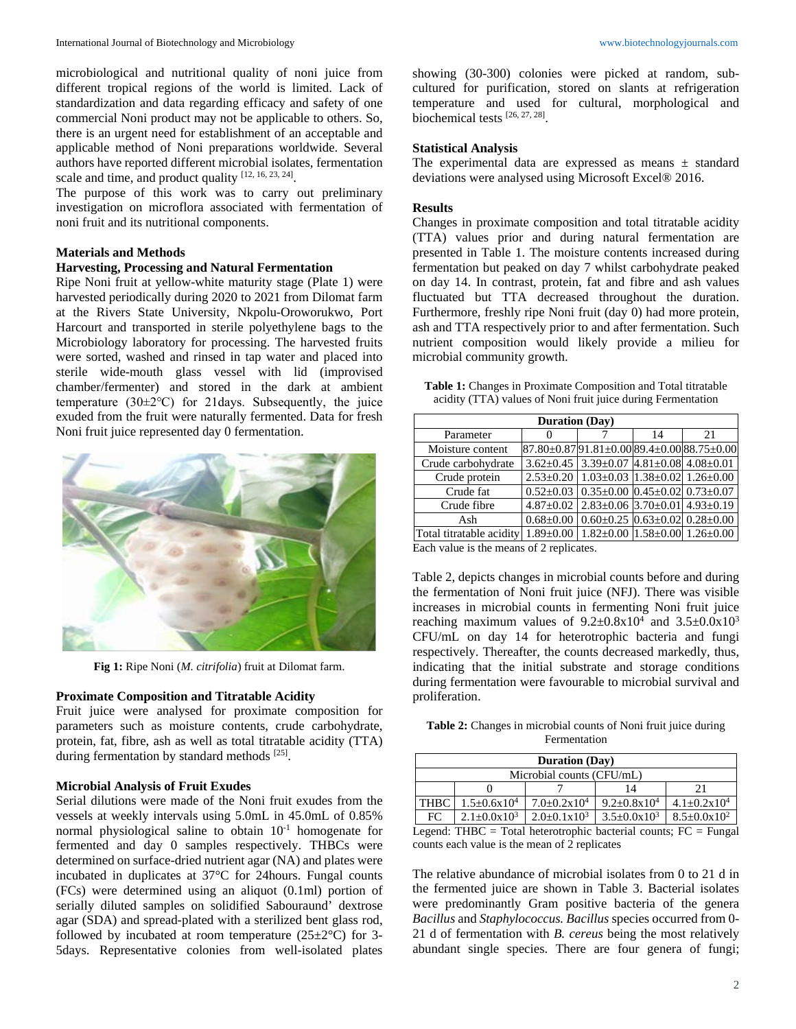microbiological and nutritional quality of noni juice from different tropical regions of the world is limited. Lack of standardization and data regarding efficacy and safety of one commercial Noni product may not be applicable to others. So, there is an urgent need for establishment of an acceptable and applicable method of Noni preparations worldwide. Several authors have reported different microbial isolates, fermentation scale and time, and product quality  $[12, 16, 23, 24]$ .

The purpose of this work was to carry out preliminary investigation on microflora associated with fermentation of noni fruit and its nutritional components.

#### **Materials and Methods**

### **Harvesting, Processing and Natural Fermentation**

Ripe Noni fruit at yellow-white maturity stage (Plate 1) were harvested periodically during 2020 to 2021 from Dilomat farm at the Rivers State University, Nkpolu-Oroworukwo, Port Harcourt and transported in sterile polyethylene bags to the Microbiology laboratory for processing. The harvested fruits were sorted, washed and rinsed in tap water and placed into sterile wide-mouth glass vessel with lid (improvised chamber/fermenter) and stored in the dark at ambient temperature  $(30\pm2\degree C)$  for 21 days. Subsequently, the juice exuded from the fruit were naturally fermented. Data for fresh Noni fruit juice represented day 0 fermentation.



**Fig 1:** Ripe Noni (*M. citrifolia*) fruit at Dilomat farm.

#### **Proximate Composition and Titratable Acidity**

Fruit juice were analysed for proximate composition for parameters such as moisture contents, crude carbohydrate, protein, fat, fibre, ash as well as total titratable acidity (TTA) during fermentation by standard methods [25].

## **Microbial Analysis of Fruit Exudes**

Serial dilutions were made of the Noni fruit exudes from the vessels at weekly intervals using 5.0mL in 45.0mL of 0.85% normal physiological saline to obtain 10-1 homogenate for fermented and day 0 samples respectively. THBCs were determined on surface-dried nutrient agar (NA) and plates were incubated in duplicates at 37°C for 24hours. Fungal counts (FCs) were determined using an aliquot (0.1ml) portion of serially diluted samples on solidified Sabouraund' dextrose agar (SDA) and spread-plated with a sterilized bent glass rod, followed by incubated at room temperature  $(25 \pm 2^{\circ}C)$  for 3-5days. Representative colonies from well-isolated plates showing (30-300) colonies were picked at random, subcultured for purification, stored on slants at refrigeration temperature and used for cultural, morphological and biochemical tests [26, 27, 28] .

## **Statistical Analysis**

The experimental data are expressed as means ± standard deviations were analysed using Microsoft Excel® 2016.

## **Results**

Changes in proximate composition and total titratable acidity (TTA) values prior and during natural fermentation are presented in Table 1. The moisture contents increased during fermentation but peaked on day 7 whilst carbohydrate peaked on day 14. In contrast, protein, fat and fibre and ash values fluctuated but TTA decreased throughout the duration. Furthermore, freshly ripe Noni fruit (day 0) had more protein, ash and TTA respectively prior to and after fermentation. Such nutrient composition would likely provide a milieu for microbial community growth.

**Table 1:** Changes in Proximate Composition and Total titratable acidity (TTA) values of Noni fruit juice during Fermentation

| <b>Duration</b> (Day)                                            |  |                                                                    |    |    |  |  |  |  |
|------------------------------------------------------------------|--|--------------------------------------------------------------------|----|----|--|--|--|--|
| Parameter                                                        |  |                                                                    | 14 | 21 |  |  |  |  |
| Moisture content                                                 |  | $87.80 \pm 0.87$ 91.81 $\pm$ 0.00 89.4 $\pm$ 0.00 88.75 $\pm$ 0.00 |    |    |  |  |  |  |
| Crude carbohydrate                                               |  | $3.62 \pm 0.45$ 3.39 $\pm$ 0.07 4.81 $\pm$ 0.08 4.08 $\pm$ 0.01    |    |    |  |  |  |  |
| Crude protein                                                    |  | $2.53\pm0.20$   $1.03\pm0.03$   $1.38\pm0.02$   $1.26\pm0.00$      |    |    |  |  |  |  |
| Crude fat                                                        |  | $0.52\pm0.03$ 0.35 $\pm$ 0.00 0.45 $\pm$ 0.02 0.73 $\pm$ 0.07      |    |    |  |  |  |  |
| Crude fibre                                                      |  | $4.87\pm0.02$ 2.83 $\pm0.06$ 3.70 $\pm0.01$ 4.93 $\pm0.19$         |    |    |  |  |  |  |
| Ash                                                              |  | $0.68 \pm 0.00$ $0.60 \pm 0.25$ $0.63 \pm 0.02$ $0.28 \pm 0.00$    |    |    |  |  |  |  |
| Total titratable acidity 1.89±0.00 1.82±0.00 1.58±0.00 1.26±0.00 |  |                                                                    |    |    |  |  |  |  |

Each value is the means of 2 replicates.

Table 2, depicts changes in microbial counts before and during the fermentation of Noni fruit juice (NFJ). There was visible increases in microbial counts in fermenting Noni fruit juice reaching maximum values of  $9.2 \pm 0.8 \times 10^4$  and  $3.5 \pm 0.0 \times 10^3$ CFU/mL on day 14 for heterotrophic bacteria and fungi respectively. Thereafter, the counts decreased markedly, thus, indicating that the initial substrate and storage conditions during fermentation were favourable to microbial survival and proliferation.

**Table 2:** Changes in microbial counts of Noni fruit juice during Fermentation

| <b>Duration</b> (Day)                                                       |                           |                           |                           |                           |  |  |  |  |
|-----------------------------------------------------------------------------|---------------------------|---------------------------|---------------------------|---------------------------|--|--|--|--|
| Microbial counts (CFU/mL)                                                   |                           |                           |                           |                           |  |  |  |  |
|                                                                             |                           |                           | 14                        | 21                        |  |  |  |  |
| <b>THBC</b>                                                                 | $1.5 \pm 0.6 \times 10^4$ | $7.0+0.2x10^4$            | $9.2 \pm 0.8 \times 10^4$ | $4.1 \pm 0.2 \times 10^4$ |  |  |  |  |
| FC.                                                                         | $2.1 + 0.0 \times 10^3$   | $2.0 \pm 0.1 \times 10^3$ | $3.5 \pm 0.0 \times 10^3$ | $8.5 \pm 0.0 \times 10^2$ |  |  |  |  |
| Logand: $THDC = Total behaviour, local location of a count of EC = E, mean$ |                           |                           |                           |                           |  |  |  |  |

Legend: THBC = Total heterotrophic bacterial counts;  $FC = Fungal$ counts each value is the mean of 2 replicates

The relative abundance of microbial isolates from 0 to 21 d in the fermented juice are shown in Table 3. Bacterial isolates were predominantly Gram positive bacteria of the genera *Bacillus* and *Staphylococcus. Bacillus* species occurred from 0- 21 d of fermentation with *B. cereus* being the most relatively abundant single species. There are four genera of fungi;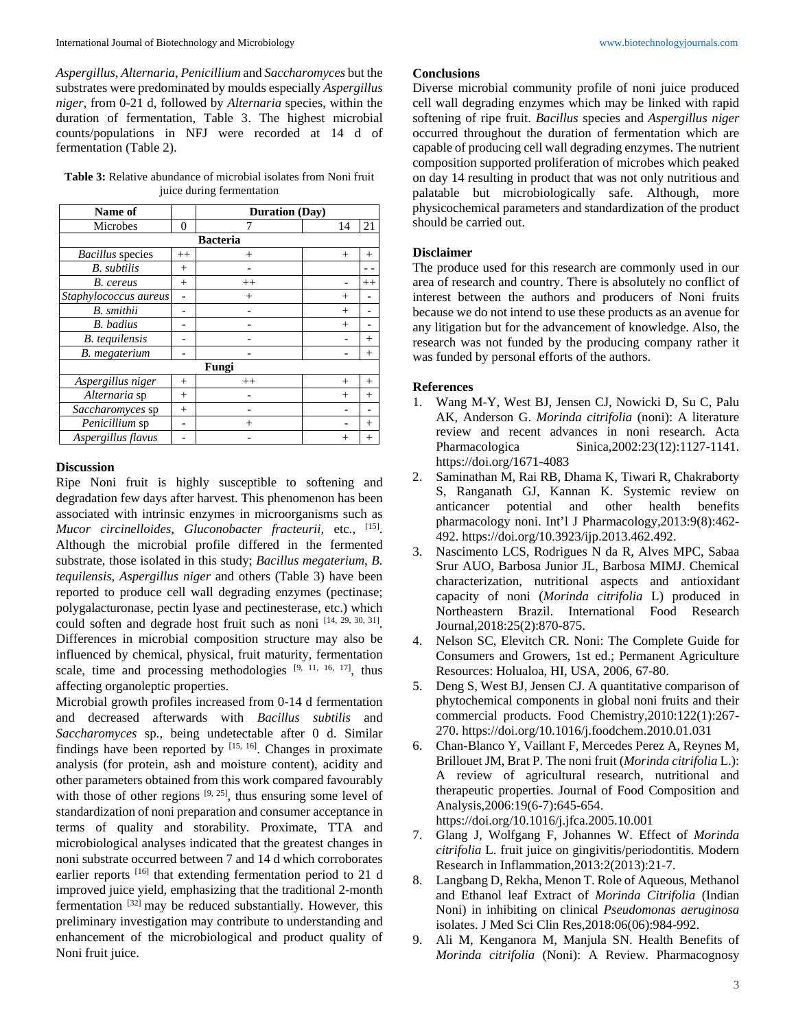*Aspergillus*, *Alternaria*, *Penicillium* and *Saccharomyces* but the substrates were predominated by moulds especially *Aspergillus niger,* from 0-21 d, followed by *Alternaria* species, within the duration of fermentation, Table 3. The highest microbial counts/populations in NFJ were recorded at 14 d of fermentation (Table 2).

**Table 3:** Relative abundance of microbial isolates from Noni fruit juice during fermentation

| Name of                 |          | <b>Duration</b> (Day) |        |         |  |  |  |  |  |  |
|-------------------------|----------|-----------------------|--------|---------|--|--|--|--|--|--|
| Microbes                | $\Omega$ | 7                     | 14     | 21      |  |  |  |  |  |  |
| <b>Bacteria</b>         |          |                       |        |         |  |  |  |  |  |  |
| <i>Bacillus</i> species | $^{++}$  | $^{+}$                | $^{+}$ | $^{+}$  |  |  |  |  |  |  |
| <b>B.</b> subtilis      | $^{+}$   |                       |        |         |  |  |  |  |  |  |
| B. cereus               | $^{+}$   | $^{++}$               |        | $^{++}$ |  |  |  |  |  |  |
| Staphylococcus aureus   | -        | $^{+}$                | $^{+}$ |         |  |  |  |  |  |  |
| B. smithii              |          |                       | $^{+}$ |         |  |  |  |  |  |  |
| <b>B.</b> badius        |          |                       | $^{+}$ |         |  |  |  |  |  |  |
| <b>B.</b> tequilensis   |          |                       |        | $^{+}$  |  |  |  |  |  |  |
| <b>B.</b> megaterium    |          |                       |        | $^{+}$  |  |  |  |  |  |  |
| Fungi                   |          |                       |        |         |  |  |  |  |  |  |
| Aspergillus niger       | $^{+}$   | $^{++}$               | $^{+}$ | $^{+}$  |  |  |  |  |  |  |
| Alternaria sp           | $^{+}$   |                       | $^{+}$ | $^{+}$  |  |  |  |  |  |  |
| Saccharomyces sp        | $^{+}$   |                       |        |         |  |  |  |  |  |  |
| Penicillium sp          | -        | $^{+}$                |        | $^+$    |  |  |  |  |  |  |
| Aspergillus flavus      |          |                       | $^+$   | $^{+}$  |  |  |  |  |  |  |

### **Discussion**

Ripe Noni fruit is highly susceptible to softening and degradation few days after harvest. This phenomenon has been associated with intrinsic enzymes in microorganisms such as *Mucor circinelloides*, *Gluconobacter fracteurii,* etc., [15] . Although the microbial profile differed in the fermented substrate, those isolated in this study; *Bacillus megaterium*, *B. tequilensis*, *Aspergillus niger* and others (Table 3) have been reported to produce cell wall degrading enzymes (pectinase; polygalacturonase, pectin lyase and pectinesterase, etc.) which could soften and degrade host fruit such as noni  $[14, 29, 30, 31]$ . Differences in microbial composition structure may also be influenced by chemical, physical, fruit maturity, fermentation scale, time and processing methodologies  $[9, 11, 16, 17]$ , thus affecting organoleptic properties.

Microbial growth profiles increased from 0-14 d fermentation and decreased afterwards with *Bacillus subtilis* and *Saccharomyces* sp., being undetectable after 0 d. Similar findings have been reported by  $[15, 16]$ . Changes in proximate analysis (for protein, ash and moisture content), acidity and other parameters obtained from this work compared favourably with those of other regions  $[9, 25]$ , thus ensuring some level of standardization of noni preparation and consumer acceptance in terms of quality and storability. Proximate, TTA and microbiological analyses indicated that the greatest changes in noni substrate occurred between 7 and 14 d which corroborates earlier reports <sup>[16]</sup> that extending fermentation period to 21 d improved juice yield, emphasizing that the traditional 2-month fermentation [32] may be reduced substantially. However, this preliminary investigation may contribute to understanding and enhancement of the microbiological and product quality of Noni fruit juice.

## **Conclusions**

Diverse microbial community profile of noni juice produced cell wall degrading enzymes which may be linked with rapid softening of ripe fruit. *Bacillus* species and *Aspergillus niger* occurred throughout the duration of fermentation which are capable of producing cell wall degrading enzymes. The nutrient composition supported proliferation of microbes which peaked on day 14 resulting in product that was not only nutritious and palatable but microbiologically safe. Although, more physicochemical parameters and standardization of the product should be carried out.

#### **Disclaimer**

The produce used for this research are commonly used in our area of research and country. There is absolutely no conflict of interest between the authors and producers of Noni fruits because we do not intend to use these products as an avenue for any litigation but for the advancement of knowledge. Also, the research was not funded by the producing company rather it was funded by personal efforts of the authors.

#### **References**

- 1. Wang M-Y, West BJ, Jensen CJ, Nowicki D, Su C, Palu AK, Anderson G. *Morinda citrifolia* (noni): A literature review and recent advances in noni research. Acta Pharmacologica Sinica,2002:23(12):1127-1141. https://doi.org/1671-4083
- 2. Saminathan M, Rai RB, Dhama K, Tiwari R, Chakraborty S, Ranganath GJ, Kannan K. Systemic review on anticancer potential and other health benefits pharmacology noni. Int'l J Pharmacology,2013:9(8):462- 492. https://doi.org/10.3923/ijp.2013.462.492.
- 3. Nascimento LCS, Rodrigues N da R, Alves MPC, Sabaa Srur AUO, Barbosa Junior JL, Barbosa MIMJ. Chemical characterization, nutritional aspects and antioxidant capacity of noni (*Morinda citrifolia* L) produced in Northeastern Brazil. International Food Research Journal,2018:25(2):870-875.
- 4. Nelson SC, Elevitch CR. Noni: The Complete Guide for Consumers and Growers, 1st ed.; Permanent Agriculture Resources: Holualoa, HI, USA, 2006, 67-80.
- 5. Deng S, West BJ, Jensen CJ. A quantitative comparison of phytochemical components in global noni fruits and their commercial products. Food Chemistry,2010:122(1):267- 270. https://doi.org/10.1016/j.foodchem.2010.01.031
- 6. Chan-Blanco Y, Vaillant F, Mercedes Perez A, Reynes M, Brillouet JM, Brat P. The noni fruit (*Morinda citrifolia* L.): A review of agricultural research, nutritional and therapeutic properties. Journal of Food Composition and Analysis,2006:19(6-7):645-654. https://doi.org/10.1016/j.jfca.2005.10.001
- 7. Glang J, Wolfgang F, Johannes W. Effect of *Morinda citrifolia* L. fruit juice on gingivitis/periodontitis. Modern Research in Inflammation,2013:2(2013):21-7.
- 8. Langbang D, Rekha, Menon T. Role of Aqueous, Methanol and Ethanol leaf Extract of *Morinda Citrifolia* (Indian Noni) in inhibiting on clinical *Pseudomonas aeruginosa* isolates. J Med Sci Clin Res,2018:06(06):984-992.
- 9. Ali M, Kenganora M, Manjula SN. Health Benefits of *Morinda citrifolia* (Noni): A Review. Pharmacognosy